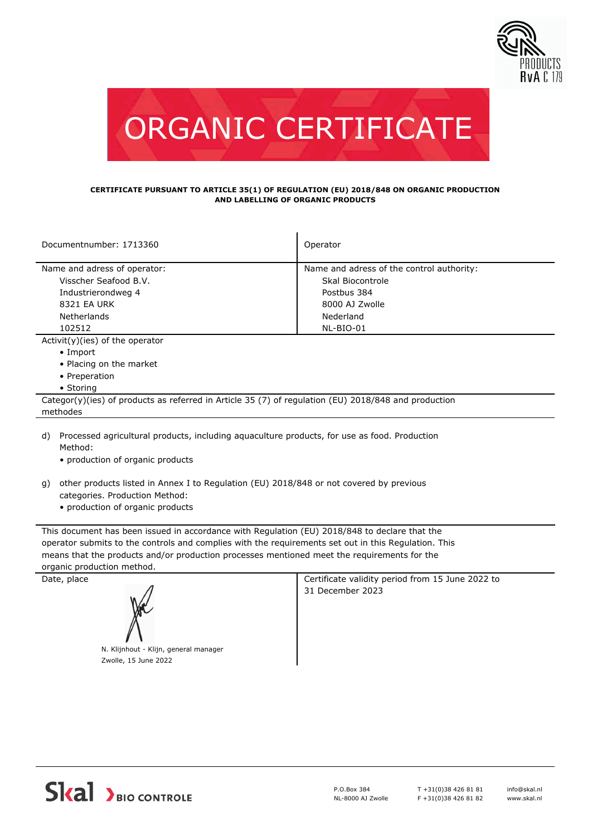



## **CERTIFICATE PURSUANT TO ARTICLE 35(1) OF REGULATION (EU) 2018/848 ON ORGANIC PRODUCTION AND LABELLING OF ORGANIC PRODUCTS**

| Documentnumber: 1713360                                                                              | Operator                                  |  |
|------------------------------------------------------------------------------------------------------|-------------------------------------------|--|
| Name and adress of operator:                                                                         | Name and adress of the control authority: |  |
| Visscher Seafood B.V.                                                                                | Skal Biocontrole                          |  |
| Industrierondweg 4                                                                                   | Postbus 384                               |  |
| 8321 EA URK                                                                                          | 8000 AJ Zwolle                            |  |
| Netherlands                                                                                          | Nederland                                 |  |
| 102512                                                                                               | NL-BIO-01                                 |  |
| $Activity)(ies)$ of the operator                                                                     |                                           |  |
| $\bullet$ Import                                                                                     |                                           |  |
| • Placing on the market                                                                              |                                           |  |
| • Preperation                                                                                        |                                           |  |
| • Storing                                                                                            |                                           |  |
| Categor(y)(ies) of products as referred in Article 35 (7) of regulation (EU) 2018/848 and production |                                           |  |
| methodes                                                                                             |                                           |  |
|                                                                                                      |                                           |  |

- d) Processed agricultural products, including aquaculture products, for use as food. Production Method:
	- production of organic products
- other products listed in Annex I to Regulation (EU) 2018/848 or not covered by previous g) categories. Production Method:
	- production of organic products

This document has been issued in accordance with Regulation (EU) 2018/848 to declare that the operator submits to the controls and complies with the requirements set out in this Regulation. This means that the products and/or production processes mentioned meet the requirements for the organic production method.



Date, place Certificate validity period from 15 June 2022 to 31 December 2023